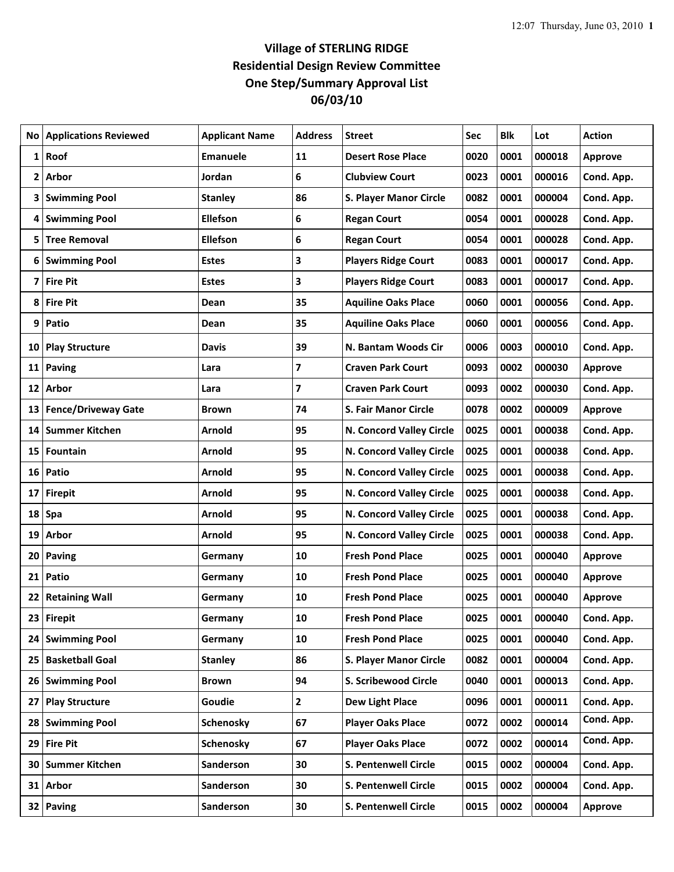## **Village of STERLING RIDGE Residential Design Review Committee One Step/Summary Approval List 06/03/10**

|    | <b>No   Applications Reviewed</b> | <b>Applicant Name</b> | <b>Address</b> | <b>Street</b>                 | Sec  | Blk  | Lot    | <b>Action</b>  |
|----|-----------------------------------|-----------------------|----------------|-------------------------------|------|------|--------|----------------|
| 1  | Roof                              | <b>Emanuele</b>       | 11             | <b>Desert Rose Place</b>      | 0020 | 0001 | 000018 | <b>Approve</b> |
|    | 2 Arbor                           | Jordan                | 6              | <b>Clubview Court</b>         | 0023 | 0001 | 000016 | Cond. App.     |
|    | 3 Swimming Pool                   | <b>Stanley</b>        | 86             | <b>S. Player Manor Circle</b> | 0082 | 0001 | 000004 | Cond. App.     |
|    | 4 Swimming Pool                   | <b>Ellefson</b>       | 6              | <b>Regan Court</b>            | 0054 | 0001 | 000028 | Cond. App.     |
| 5  | <b>Tree Removal</b>               | <b>Ellefson</b>       | 6              | <b>Regan Court</b>            | 0054 | 0001 | 000028 | Cond. App.     |
|    | 6 Swimming Pool                   | <b>Estes</b>          | 3              | <b>Players Ridge Court</b>    | 0083 | 0001 | 000017 | Cond. App.     |
| 7  | <b>Fire Pit</b>                   | <b>Estes</b>          | 3              | <b>Players Ridge Court</b>    | 0083 | 0001 | 000017 | Cond. App.     |
| 8  | <b>Fire Pit</b>                   | Dean                  | 35             | <b>Aquiline Oaks Place</b>    | 0060 | 0001 | 000056 | Cond. App.     |
| 9  | Patio                             | Dean                  | 35             | <b>Aquiline Oaks Place</b>    | 0060 | 0001 | 000056 | Cond. App.     |
|    | 10 Play Structure                 | <b>Davis</b>          | 39             | N. Bantam Woods Cir           | 0006 | 0003 | 000010 | Cond. App.     |
| 11 | <b>Paving</b>                     | Lara                  | 7              | <b>Craven Park Court</b>      | 0093 | 0002 | 000030 | <b>Approve</b> |
|    | 12 Arbor                          | Lara                  | 7              | <b>Craven Park Court</b>      | 0093 | 0002 | 000030 | Cond. App.     |
|    | 13 Fence/Driveway Gate            | Brown                 | 74             | <b>S. Fair Manor Circle</b>   | 0078 | 0002 | 000009 | <b>Approve</b> |
| 14 | Summer Kitchen                    | Arnold                | 95             | N. Concord Valley Circle      | 0025 | 0001 | 000038 | Cond. App.     |
| 15 | Fountain                          | Arnold                | 95             | N. Concord Valley Circle      | 0025 | 0001 | 000038 | Cond. App.     |
|    | 16 Patio                          | Arnold                | 95             | N. Concord Valley Circle      | 0025 | 0001 | 000038 | Cond. App.     |
| 17 | <b>Firepit</b>                    | Arnold                | 95             | N. Concord Valley Circle      | 0025 | 0001 | 000038 | Cond. App.     |
|    | 18 Spa                            | Arnold                | 95             | N. Concord Valley Circle      | 0025 | 0001 | 000038 | Cond. App.     |
| 19 | Arbor                             | Arnold                | 95             | N. Concord Valley Circle      | 0025 | 0001 | 000038 | Cond. App.     |
|    | 20 Paving                         | Germany               | 10             | <b>Fresh Pond Place</b>       | 0025 | 0001 | 000040 | <b>Approve</b> |
| 21 | Patio                             | Germany               | 10             | <b>Fresh Pond Place</b>       | 0025 | 0001 | 000040 | <b>Approve</b> |
|    | 22 Retaining Wall                 | Germany               | 10             | <b>Fresh Pond Place</b>       | 0025 | 0001 | 000040 | <b>Approve</b> |
|    | 23 Firepit                        | Germany               | 10             | <b>Fresh Pond Place</b>       | 0025 | 0001 | 000040 | Cond. App.     |
|    | 24 Swimming Pool                  | Germany               | 10             | <b>Fresh Pond Place</b>       | 0025 | 0001 | 000040 | Cond. App.     |
|    | 25 Basketball Goal                | <b>Stanley</b>        | 86             | <b>S. Player Manor Circle</b> | 0082 | 0001 | 000004 | Cond. App.     |
|    | 26 Swimming Pool                  | <b>Brown</b>          | 94             | <b>S. Scribewood Circle</b>   | 0040 | 0001 | 000013 | Cond. App.     |
| 27 | <b>Play Structure</b>             | Goudie                | 2              | <b>Dew Light Place</b>        | 0096 | 0001 | 000011 | Cond. App.     |
|    | 28 Swimming Pool                  | Schenosky             | 67             | <b>Player Oaks Place</b>      | 0072 | 0002 | 000014 | Cond. App.     |
|    | 29 Fire Pit                       | Schenosky             | 67             | <b>Player Oaks Place</b>      | 0072 | 0002 | 000014 | Cond. App.     |
|    | 30 Summer Kitchen                 | Sanderson             | 30             | S. Pentenwell Circle          | 0015 | 0002 | 000004 | Cond. App.     |
|    | 31 Arbor                          | Sanderson             | 30             | S. Pentenwell Circle          | 0015 | 0002 | 000004 | Cond. App.     |
|    | 32 Paving                         | Sanderson             | 30             | S. Pentenwell Circle          | 0015 | 0002 | 000004 | <b>Approve</b> |